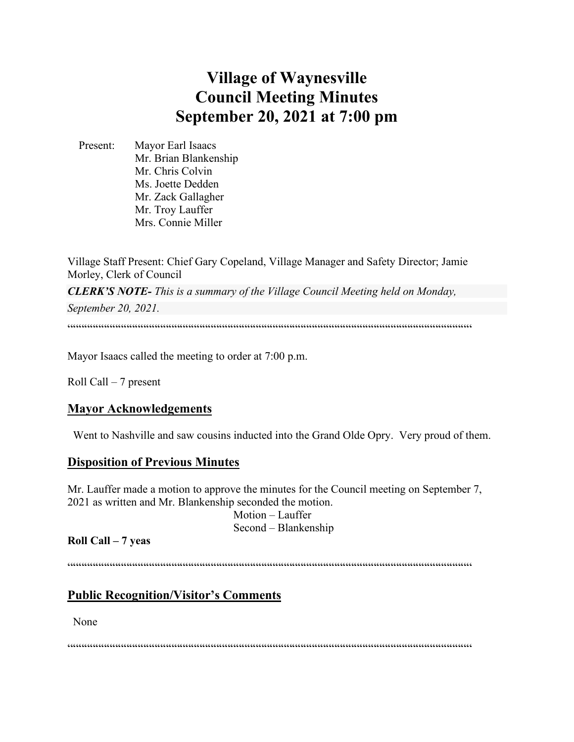# **Village of Waynesville Council Meeting Minutes September 20, 2021 at 7:00 pm**

 Present: Mayor Earl Isaacs Mr. Brian Blankenship Mr. Chris Colvin Ms. Joette Dedden Mr. Zack Gallagher Mr. Troy Lauffer Mrs. Connie Miller

Village Staff Present: Chief Gary Copeland, Village Manager and Safety Director; Jamie Morley, Clerk of Council

*CLERK'S NOTE- This is a summary of the Village Council Meeting held on Monday, September 20, 2021.* 

 $\label{prop:main}$ 

Mayor Isaacs called the meeting to order at 7:00 p.m.

Roll Call – 7 present

# **Mayor Acknowledgements**

Went to Nashville and saw cousins inducted into the Grand Olde Opry. Very proud of them.

## **Disposition of Previous Minutes**

Mr. Lauffer made a motion to approve the minutes for the Council meeting on September 7, 2021 as written and Mr. Blankenship seconded the motion.

> Motion – Lauffer Second – Blankenship

## **Roll Call – 7 yeas**

 $\label{prop:main}$ 

# **Public Recognition/Visitor's Comments**

None

"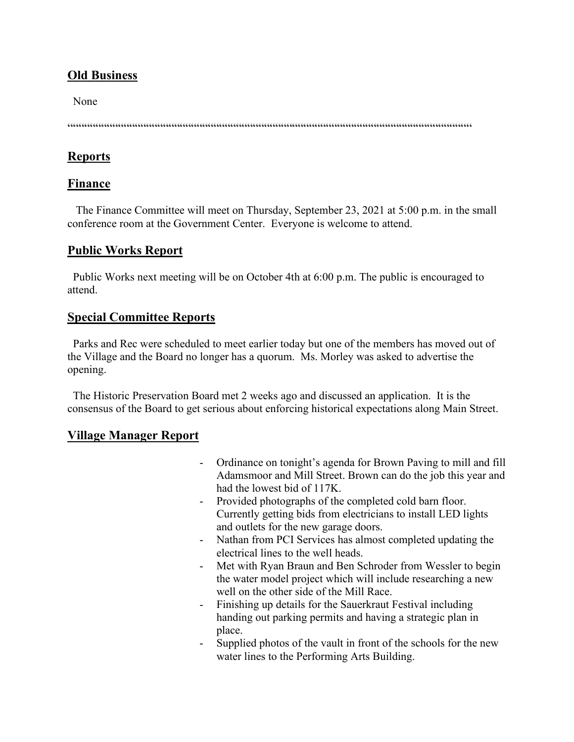# **Old Business**

None

 $\label{prop:main} \hspace{1.5cm} \hspace{1.5cm} \hspace{1.5cm} \hspace{1.5cm} \hspace{1.5cm} \hspace{1.5cm} \hspace{1.5cm} \hspace{1.5cm} \hspace{1.5cm} \hspace{1.5cm} \hspace{1.5cm} \hspace{1.5cm} \hspace{1.5cm} \hspace{1.5cm} \hspace{1.5cm} \hspace{1.5cm} \hspace{1.5cm} \hspace{1.5cm} \hspace{1.5cm} \hspace{1.5cm} \hspace{1.5cm} \hspace{1.5cm} \hspace{1.5cm} \hspace{1.$ 

# **Reports**

## **Finance**

 The Finance Committee will meet on Thursday, September 23, 2021 at 5:00 p.m. in the small conference room at the Government Center. Everyone is welcome to attend.

## **Public Works Report**

 Public Works next meeting will be on October 4th at 6:00 p.m. The public is encouraged to attend.

# **Special Committee Reports**

 Parks and Rec were scheduled to meet earlier today but one of the members has moved out of the Village and the Board no longer has a quorum. Ms. Morley was asked to advertise the opening.

 The Historic Preservation Board met 2 weeks ago and discussed an application. It is the consensus of the Board to get serious about enforcing historical expectations along Main Street.

# **Village Manager Report**

- Ordinance on tonight's agenda for Brown Paving to mill and fill Adamsmoor and Mill Street. Brown can do the job this year and had the lowest bid of 117K.
- Provided photographs of the completed cold barn floor. Currently getting bids from electricians to install LED lights and outlets for the new garage doors.
- Nathan from PCI Services has almost completed updating the electrical lines to the well heads.
- Met with Ryan Braun and Ben Schroder from Wessler to begin the water model project which will include researching a new well on the other side of the Mill Race.
- Finishing up details for the Sauerkraut Festival including handing out parking permits and having a strategic plan in place.
- Supplied photos of the vault in front of the schools for the new water lines to the Performing Arts Building.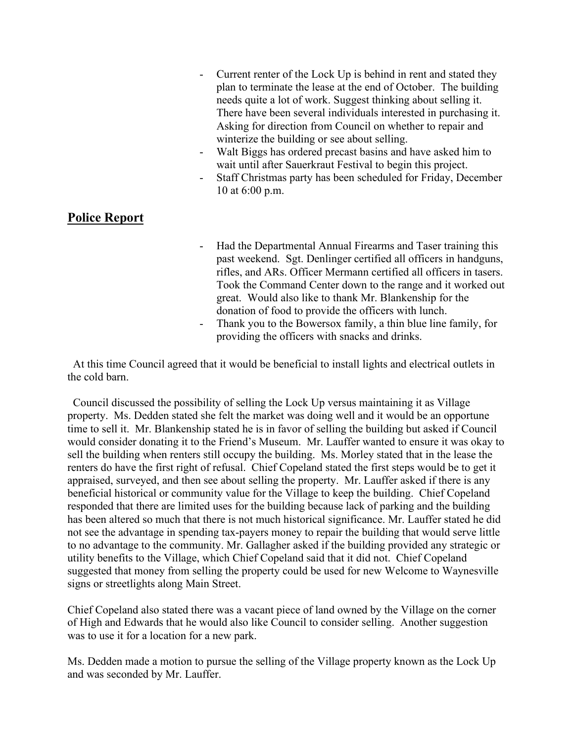- Current renter of the Lock Up is behind in rent and stated they plan to terminate the lease at the end of October. The building needs quite a lot of work. Suggest thinking about selling it. There have been several individuals interested in purchasing it. Asking for direction from Council on whether to repair and winterize the building or see about selling.
- Walt Biggs has ordered precast basins and have asked him to wait until after Sauerkraut Festival to begin this project.
- Staff Christmas party has been scheduled for Friday, December 10 at 6:00 p.m.

# **Police Report**

- Had the Departmental Annual Firearms and Taser training this past weekend. Sgt. Denlinger certified all officers in handguns, rifles, and ARs. Officer Mermann certified all officers in tasers. Took the Command Center down to the range and it worked out great. Would also like to thank Mr. Blankenship for the donation of food to provide the officers with lunch.
- Thank you to the Bowersox family, a thin blue line family, for providing the officers with snacks and drinks.

 At this time Council agreed that it would be beneficial to install lights and electrical outlets in the cold barn.

 Council discussed the possibility of selling the Lock Up versus maintaining it as Village property. Ms. Dedden stated she felt the market was doing well and it would be an opportune time to sell it. Mr. Blankenship stated he is in favor of selling the building but asked if Council would consider donating it to the Friend's Museum. Mr. Lauffer wanted to ensure it was okay to sell the building when renters still occupy the building. Ms. Morley stated that in the lease the renters do have the first right of refusal. Chief Copeland stated the first steps would be to get it appraised, surveyed, and then see about selling the property. Mr. Lauffer asked if there is any beneficial historical or community value for the Village to keep the building. Chief Copeland responded that there are limited uses for the building because lack of parking and the building has been altered so much that there is not much historical significance. Mr. Lauffer stated he did not see the advantage in spending tax-payers money to repair the building that would serve little to no advantage to the community. Mr. Gallagher asked if the building provided any strategic or utility benefits to the Village, which Chief Copeland said that it did not. Chief Copeland suggested that money from selling the property could be used for new Welcome to Waynesville signs or streetlights along Main Street.

Chief Copeland also stated there was a vacant piece of land owned by the Village on the corner of High and Edwards that he would also like Council to consider selling. Another suggestion was to use it for a location for a new park.

Ms. Dedden made a motion to pursue the selling of the Village property known as the Lock Up and was seconded by Mr. Lauffer.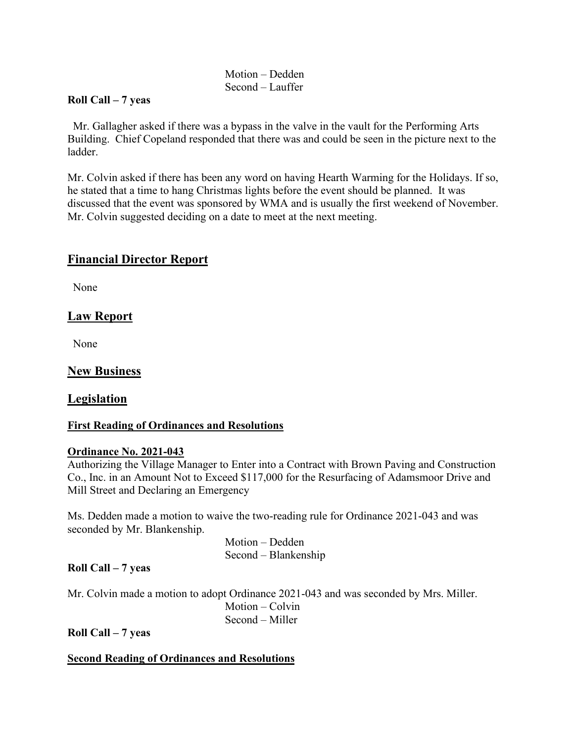## Motion – Dedden Second – Lauffer

#### **Roll Call – 7 yeas**

 Mr. Gallagher asked if there was a bypass in the valve in the vault for the Performing Arts Building. Chief Copeland responded that there was and could be seen in the picture next to the ladder.

Mr. Colvin asked if there has been any word on having Hearth Warming for the Holidays. If so, he stated that a time to hang Christmas lights before the event should be planned. It was discussed that the event was sponsored by WMA and is usually the first weekend of November. Mr. Colvin suggested deciding on a date to meet at the next meeting.

## **Financial Director Report**

None

# **Law Report**

None

#### **New Business**

## **Legislation**

#### **First Reading of Ordinances and Resolutions**

#### **Ordinance No. 2021-043**

Authorizing the Village Manager to Enter into a Contract with Brown Paving and Construction Co., Inc. in an Amount Not to Exceed \$117,000 for the Resurfacing of Adamsmoor Drive and Mill Street and Declaring an Emergency

Ms. Dedden made a motion to waive the two-reading rule for Ordinance 2021-043 and was seconded by Mr. Blankenship.

> Motion – Dedden Second – Blankenship

#### **Roll Call – 7 yeas**

Mr. Colvin made a motion to adopt Ordinance 2021-043 and was seconded by Mrs. Miller. Motion – Colvin Second – Miller

**Roll Call – 7 yeas**

#### **Second Reading of Ordinances and Resolutions**